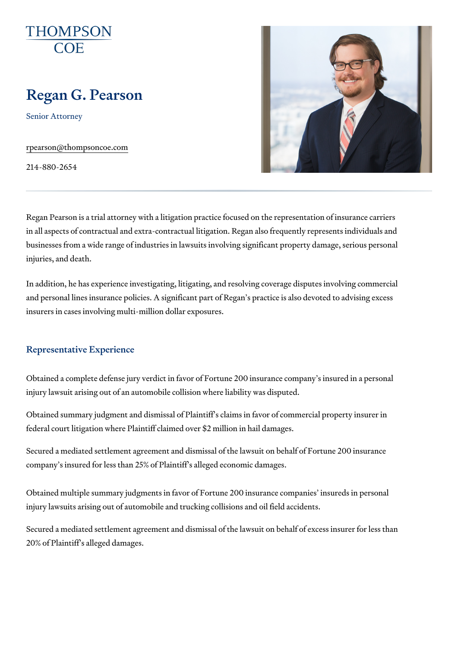# Regan G. Pearson

Senior Attorney

[rpearson@thomps](mailto:rpearson@thompsoncoe.com)oncoe.com

214-880-2654

Regan Pearson is a trial attorney with a litigation practice focused on the in all aspects of contractual and extra-contractual litigation. Regan also fi businesses from a wide range of industries in lawsuits involving significan injuries, and death.

In addition, he has experience investigating, litigating, and resolving cove and personal lines insurance policies. A significant part of Regan s praction insurers in cases involving multi-million dollar exposures.

## Representative Experience

Obtained a complete defense jury verdict in favor of Fortune 200 insurance injury lawsuit arising out of an automobile collision where liability was dis

Obtained summary judgment and dismissal of Plaintiff s claims in favor of federal court litigation where Plaintiff claimed over \$2 million in hail dama

Secured a mediated settlement agreement and dismissal of the lawsuit on company s insured for less than 25% of Plaintiff s alleged economic damag

Obtained multiple summary judgments in favor of Fortune 200 insurance co injury lawsuits arising out of automobile and trucking collisions and oil fie

Secured a mediated settlement agreement and dismissal of the lawsuit on 20% of Plaintiff s alleged damages.